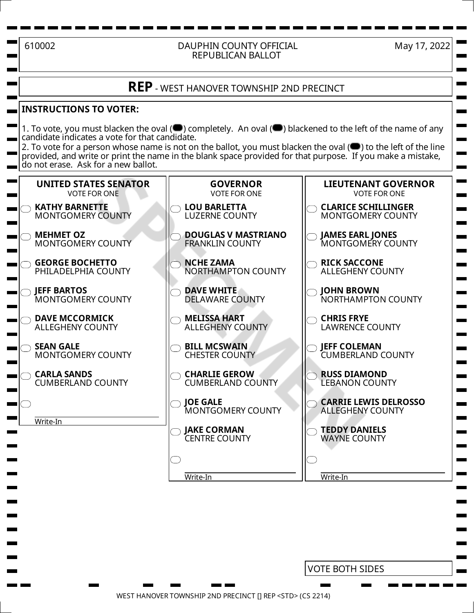## 610002 DAUPHIN COUNTY OFFICIAL REPUBLICAN BALLOT

May 17, 2022

## **REP** - WEST HANOVER TOWNSHIP 2ND PRECINCT

## **INSTRUCTIONS TO VOTER:**

1. To vote, you must blacken the oval (●) completely. An oval (●) blackened to the left of the name of any candidate indicates a vote for that candidate.

2. To vote for a person whose name is not on the ballot, you must blacken the oval  $($ **)** to the left of the line provided, and write or print the name in the blank space provided for that purpose. If you make a mistake, do not erase. Ask for a new ballot.